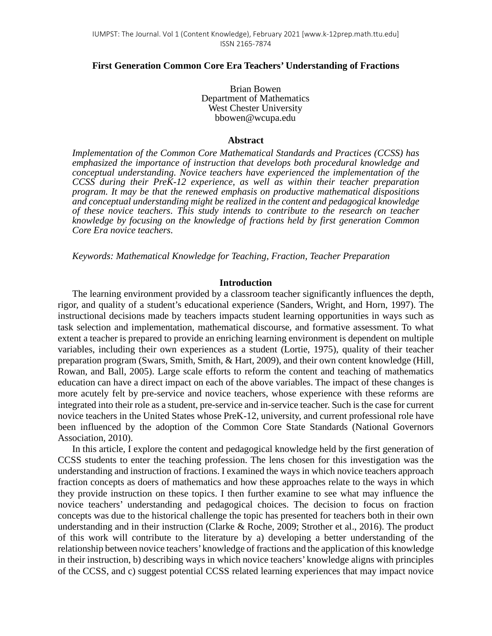## **First Generation Common Core Era Teachers' Understanding of Fractions**

Brian Bowen Department of Mathematics West Chester University bbowen@wcupa.edu

#### **Abstract**

*Implementation of the Common Core Mathematical Standards and Practices (CCSS) has emphasized the importance of instruction that develops both procedural knowledge and conceptual understanding. Novice teachers have experienced the implementation of the CCSS during their PreK-12 experience, as well as within their teacher preparation program. It may be that the renewed emphasis on productive mathematical dispositions and conceptual understanding might be realized in the content and pedagogical knowledge of these novice teachers. This study intends to contribute to the research on teacher knowledge by focusing on the knowledge of fractions held by first generation Common Core Era novice teachers.*

*Keywords: Mathematical Knowledge for Teaching, Fraction, Teacher Preparation*

## **Introduction**

The learning environment provided by a classroom teacher significantly influences the depth, rigor, and quality of a student's educational experience (Sanders, Wright, and Horn, 1997). The instructional decisions made by teachers impacts student learning opportunities in ways such as task selection and implementation, mathematical discourse, and formative assessment. To what extent a teacher is prepared to provide an enriching learning environment is dependent on multiple variables, including their own experiences as a student (Lortie, 1975), quality of their teacher preparation program (Swars, Smith, Smith, & Hart, 2009), and their own content knowledge (Hill, Rowan, and Ball, 2005). Large scale efforts to reform the content and teaching of mathematics education can have a direct impact on each of the above variables. The impact of these changes is more acutely felt by pre-service and novice teachers, whose experience with these reforms are integrated into their role as a student, pre-service and in-service teacher. Such is the case for current novice teachers in the United States whose PreK-12, university, and current professional role have been influenced by the adoption of the Common Core State Standards (National Governors Association, 2010).

In this article, I explore the content and pedagogical knowledge held by the first generation of CCSS students to enter the teaching profession. The lens chosen for this investigation was the understanding and instruction of fractions. I examined the ways in which novice teachers approach fraction concepts as doers of mathematics and how these approaches relate to the ways in which they provide instruction on these topics. I then further examine to see what may influence the novice teachers' understanding and pedagogical choices. The decision to focus on fraction concepts was due to the historical challenge the topic has presented for teachers both in their own understanding and in their instruction (Clarke & Roche, 2009; Strother et al., 2016). The product of this work will contribute to the literature by a) developing a better understanding of the relationship between novice teachers' knowledge of fractions and the application of this knowledge in their instruction, b) describing ways in which novice teachers' knowledge aligns with principles of the CCSS, and c) suggest potential CCSS related learning experiences that may impact novice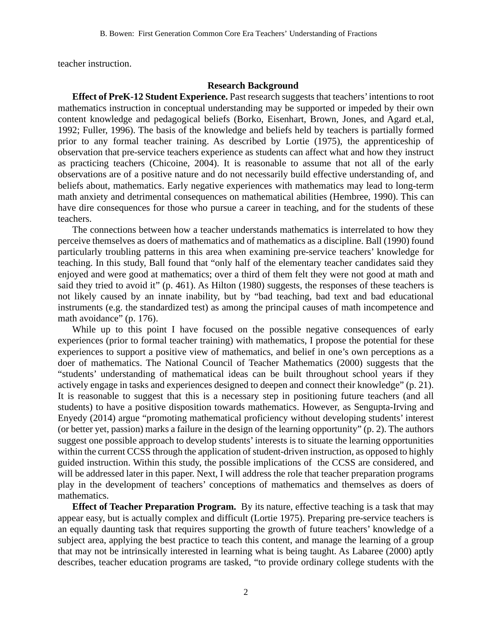teacher instruction.

# **Research Background**

**Effect of PreK-12 Student Experience.** Past research suggests that teachers' intentions to root mathematics instruction in conceptual understanding may be supported or impeded by their own content knowledge and pedagogical beliefs (Borko, Eisenhart, Brown, Jones, and Agard et.al, 1992; Fuller, 1996). The basis of the knowledge and beliefs held by teachers is partially formed prior to any formal teacher training. As described by Lortie (1975), the apprenticeship of observation that pre-service teachers experience as students can affect what and how they instruct as practicing teachers (Chicoine, 2004). It is reasonable to assume that not all of the early observations are of a positive nature and do not necessarily build effective understanding of, and beliefs about, mathematics. Early negative experiences with mathematics may lead to long-term math anxiety and detrimental consequences on mathematical abilities (Hembree, 1990). This can have dire consequences for those who pursue a career in teaching, and for the students of these teachers.

The connections between how a teacher understands mathematics is interrelated to how they perceive themselves as doers of mathematics and of mathematics as a discipline. Ball (1990) found particularly troubling patterns in this area when examining pre-service teachers' knowledge for teaching. In this study, Ball found that "only half of the elementary teacher candidates said they enjoyed and were good at mathematics; over a third of them felt they were not good at math and said they tried to avoid it" (p. 461). As Hilton (1980) suggests, the responses of these teachers is not likely caused by an innate inability, but by "bad teaching, bad text and bad educational instruments (e.g. the standardized test) as among the principal causes of math incompetence and math avoidance" (p. 176).

While up to this point I have focused on the possible negative consequences of early experiences (prior to formal teacher training) with mathematics, I propose the potential for these experiences to support a positive view of mathematics, and belief in one's own perceptions as a doer of mathematics. The National Council of Teacher Mathematics (2000) suggests that the "students' understanding of mathematical ideas can be built throughout school years if they actively engage in tasks and experiences designed to deepen and connect their knowledge" (p. 21). It is reasonable to suggest that this is a necessary step in positioning future teachers (and all students) to have a positive disposition towards mathematics. However, as Sengupta-Irving and Enyedy (2014) argue "promoting mathematical proficiency without developing students' interest (or better yet, passion) marks a failure in the design of the learning opportunity" (p. 2). The authors suggest one possible approach to develop students' interests is to situate the learning opportunities within the current CCSS through the application of student-driven instruction, as opposed to highly guided instruction. Within this study, the possible implications of the CCSS are considered, and will be addressed later in this paper. Next, I will address the role that teacher preparation programs play in the development of teachers' conceptions of mathematics and themselves as doers of mathematics.

**Effect of Teacher Preparation Program.** By its nature, effective teaching is a task that may appear easy, but is actually complex and difficult (Lortie 1975). Preparing pre-service teachers is an equally daunting task that requires supporting the growth of future teachers' knowledge of a subject area, applying the best practice to teach this content, and manage the learning of a group that may not be intrinsically interested in learning what is being taught. As Labaree (2000) aptly describes, teacher education programs are tasked, "to provide ordinary college students with the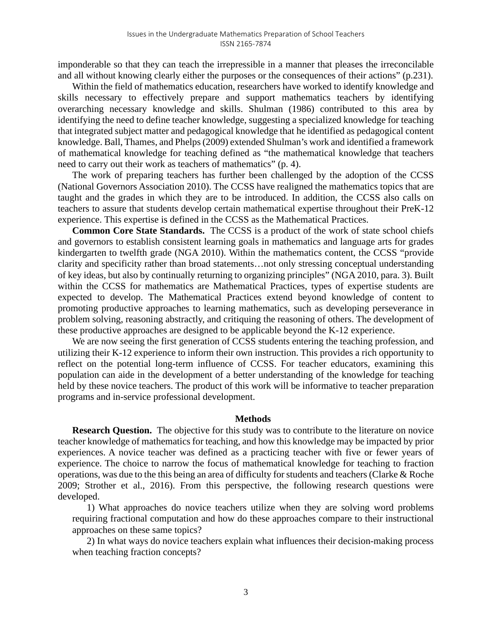imponderable so that they can teach the irrepressible in a manner that pleases the irreconcilable and all without knowing clearly either the purposes or the consequences of their actions" (p.231).

Within the field of mathematics education, researchers have worked to identify knowledge and skills necessary to effectively prepare and support mathematics teachers by identifying overarching necessary knowledge and skills. Shulman (1986) contributed to this area by identifying the need to define teacher knowledge, suggesting a specialized knowledge for teaching that integrated subject matter and pedagogical knowledge that he identified as pedagogical content knowledge. Ball, Thames, and Phelps (2009) extended Shulman's work and identified a framework of mathematical knowledge for teaching defined as "the mathematical knowledge that teachers need to carry out their work as teachers of mathematics" (p. 4).

The work of preparing teachers has further been challenged by the adoption of the CCSS (National Governors Association 2010). The CCSS have realigned the mathematics topics that are taught and the grades in which they are to be introduced. In addition, the CCSS also calls on teachers to assure that students develop certain mathematical expertise throughout their PreK-12 experience. This expertise is defined in the CCSS as the Mathematical Practices.

**Common Core State Standards.** The CCSS is a product of the work of state school chiefs and governors to establish consistent learning goals in mathematics and language arts for grades kindergarten to twelfth grade (NGA 2010). Within the mathematics content, the CCSS "provide clarity and specificity rather than broad statements…not only stressing conceptual understanding of key ideas, but also by continually returning to organizing principles" (NGA 2010, para. 3). Built within the CCSS for mathematics are Mathematical Practices, types of expertise students are expected to develop. The Mathematical Practices extend beyond knowledge of content to promoting productive approaches to learning mathematics, such as developing perseverance in problem solving, reasoning abstractly, and critiquing the reasoning of others. The development of these productive approaches are designed to be applicable beyond the K-12 experience.

We are now seeing the first generation of CCSS students entering the teaching profession, and utilizing their K-12 experience to inform their own instruction. This provides a rich opportunity to reflect on the potential long-term influence of CCSS. For teacher educators, examining this population can aide in the development of a better understanding of the knowledge for teaching held by these novice teachers. The product of this work will be informative to teacher preparation programs and in-service professional development.

### **Methods**

**Research Question.** The objective for this study was to contribute to the literature on novice teacher knowledge of mathematics for teaching, and how this knowledge may be impacted by prior experiences. A novice teacher was defined as a practicing teacher with five or fewer years of experience. The choice to narrow the focus of mathematical knowledge for teaching to fraction operations, was due to the this being an area of difficulty for students and teachers (Clarke & Roche 2009; Strother et al., 2016). From this perspective, the following research questions were developed.

1) What approaches do novice teachers utilize when they are solving word problems requiring fractional computation and how do these approaches compare to their instructional approaches on these same topics?

2) In what ways do novice teachers explain what influences their decision-making process when teaching fraction concepts?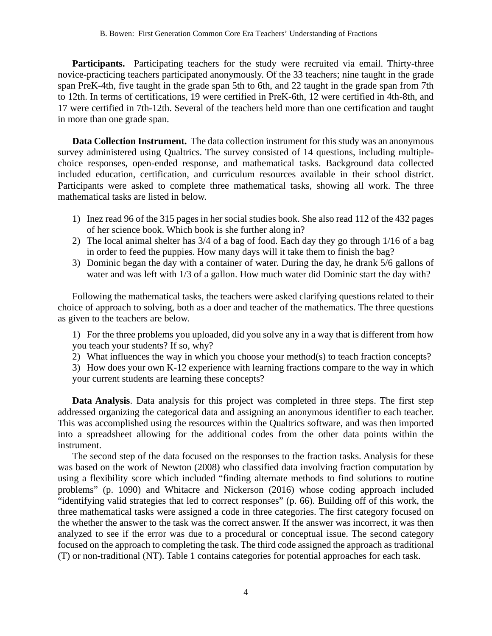Participants. Participating teachers for the study were recruited via email. Thirty-three novice-practicing teachers participated anonymously. Of the 33 teachers; nine taught in the grade span PreK-4th, five taught in the grade span 5th to 6th, and 22 taught in the grade span from 7th to 12th. In terms of certifications, 19 were certified in PreK-6th, 12 were certified in 4th-8th, and 17 were certified in 7th-12th. Several of the teachers held more than one certification and taught in more than one grade span.

**Data Collection Instrument.** The data collection instrument for this study was an anonymous survey administered using Qualtrics. The survey consisted of 14 questions, including multiplechoice responses, open-ended response, and mathematical tasks. Background data collected included education, certification, and curriculum resources available in their school district. Participants were asked to complete three mathematical tasks, showing all work. The three mathematical tasks are listed in below.

- 1) Inez read 96 of the 315 pages in her social studies book. She also read 112 of the 432 pages of her science book. Which book is she further along in?
- 2) The local animal shelter has 3/4 of a bag of food. Each day they go through 1/16 of a bag in order to feed the puppies. How many days will it take them to finish the bag?
- 3) Dominic began the day with a container of water. During the day, he drank 5/6 gallons of water and was left with 1/3 of a gallon. How much water did Dominic start the day with?

Following the mathematical tasks, the teachers were asked clarifying questions related to their choice of approach to solving, both as a doer and teacher of the mathematics. The three questions as given to the teachers are below.

1) For the three problems you uploaded, did you solve any in a way that is different from how you teach your students? If so, why?

- 2) What influences the way in which you choose your method(s) to teach fraction concepts?
- 3) How does your own K-12 experience with learning fractions compare to the way in which your current students are learning these concepts?

**Data Analysis**. Data analysis for this project was completed in three steps. The first step addressed organizing the categorical data and assigning an anonymous identifier to each teacher. This was accomplished using the resources within the Qualtrics software, and was then imported into a spreadsheet allowing for the additional codes from the other data points within the instrument.

The second step of the data focused on the responses to the fraction tasks. Analysis for these was based on the work of Newton (2008) who classified data involving fraction computation by using a flexibility score which included "finding alternate methods to find solutions to routine problems" (p. 1090) and Whitacre and Nickerson (2016) whose coding approach included "identifying valid strategies that led to correct responses" (p. 66). Building off of this work, the three mathematical tasks were assigned a code in three categories. The first category focused on the whether the answer to the task was the correct answer. If the answer was incorrect, it was then analyzed to see if the error was due to a procedural or conceptual issue. The second category focused on the approach to completing the task. The third code assigned the approach as traditional (T) or non-traditional (NT). Table 1 contains categories for potential approaches for each task.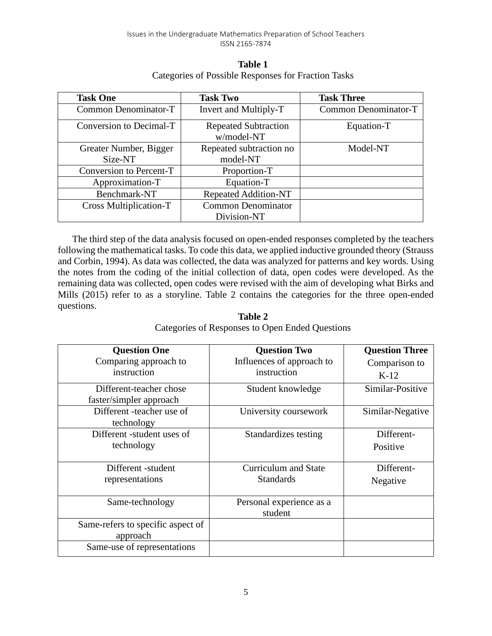| <b>Table 1</b>                                      |
|-----------------------------------------------------|
| Categories of Possible Responses for Fraction Tasks |

| <b>Task One</b>               | <b>Task Two</b>                           | <b>Task Three</b> |
|-------------------------------|-------------------------------------------|-------------------|
| Common Denominator-T          | Invert and Multiply-T                     |                   |
| Conversion to Decimal-T       | <b>Repeated Subtraction</b><br>w/model-NT | Equation-T        |
| Greater Number, Bigger        | Repeated subtraction no                   | Model-NT          |
| Size-NT                       | model-NT                                  |                   |
| Conversion to Percent-T       | Proportion-T                              |                   |
| Approximation-T               | Equation-T                                |                   |
| Benchmark-NT                  | <b>Repeated Addition-NT</b>               |                   |
| <b>Cross Multiplication-T</b> | <b>Common Denominator</b>                 |                   |
|                               | Division-NT                               |                   |

The third step of the data analysis focused on open-ended responses completed by the teachers following the mathematical tasks. To code this data, we applied inductive grounded theory (Strauss and Corbin, 1994). As data was collected, the data was analyzed for patterns and key words. Using the notes from the coding of the initial collection of data, open codes were developed. As the remaining data was collected, open codes were revised with the aim of developing what Birks and Mills (2015) refer to as a storyline. Table 2 contains the categories for the three open-ended questions.

| <b>Question One</b>               | <b>Question Two</b>         | <b>Question Three</b> |
|-----------------------------------|-----------------------------|-----------------------|
| Comparing approach to             | Influences of approach to   | Comparison to         |
| instruction                       | instruction                 | $K-12$                |
| Different-teacher chose           | Student knowledge           | Similar-Positive      |
| faster/simpler approach           |                             |                       |
| Different -teacher use of         | University coursework       | Similar-Negative      |
| technology                        |                             |                       |
| Different -student uses of        | Standardizes testing        | Different-            |
| technology                        |                             | Positive              |
|                                   |                             |                       |
| Different -student                | <b>Curriculum and State</b> | Different-            |
| representations                   | <b>Standards</b>            | Negative              |
|                                   |                             |                       |
| Same-technology                   | Personal experience as a    |                       |
|                                   | student                     |                       |
| Same-refers to specific aspect of |                             |                       |
| approach                          |                             |                       |
| Same-use of representations       |                             |                       |

**Table 2** Categories of Responses to Open Ended Questions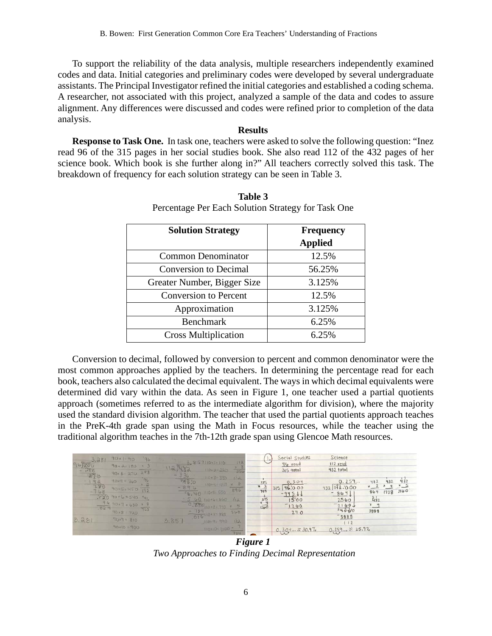To support the reliability of the data analysis, multiple researchers independently examined codes and data. Initial categories and preliminary codes were developed by several undergraduate assistants. The Principal Investigator refined the initial categories and established a coding schema. A researcher, not associated with this project, analyzed a sample of the data and codes to assure alignment. Any differences were discussed and codes were refined prior to completion of the data analysis.

# **Results**

**Response to Task One.** In task one, teachers were asked to solve the following question: "Inez read 96 of the 315 pages in her social studies book. She also read 112 of the 432 pages of her science book. Which book is she further along in?" All teachers correctly solved this task. The breakdown of frequency for each solution strategy can be seen in Table 3.

| <b>Solution Strategy</b>     | Frequency<br><b>Applied</b> |
|------------------------------|-----------------------------|
| <b>Common Denominator</b>    | 12.5%                       |
| <b>Conversion to Decimal</b> | 56.25%                      |
| Greater Number, Bigger Size  | 3.125%                      |
| <b>Conversion to Percent</b> | 12.5%                       |
| Approximation                | 3.125%                      |
| <b>Benchmark</b>             | 6.25%                       |
| <b>Cross Multiplication</b>  | 6.25%                       |

**Table 3** Percentage Per Each Solution Strategy for Task One

Conversion to decimal, followed by conversion to percent and common denominator were the most common approaches applied by the teachers. In determining the percentage read for each book, teachers also calculated the decimal equivalent. The ways in which decimal equivalents were determined did vary within the data. As seen in Figure 1, one teacher used a partial quotients approach (sometimes referred to as the intermediate algorithm for division), where the majority used the standard division algorithm. The teacher that used the partial quotients approach teaches in the PreK-4th grade span using the Math in Focus resources, while the teacher using the traditional algorithm teaches in the 7th-12th grade span using Glencoe Math resources.

|                                                        | $90*1*90$<br>90.8:180<br>$90x 6 = 270$                                                                    | $-96$<br>$\mathbf{X}$ 3<br>288 | 112)482                            | $3.857110 \times 1 = 110$<br>$110 - 2 - 220$                                                         | 13  <br>$rac{2}{334}$ |                                            | Social Studies<br>96 read<br>$315 +$ otal | Science<br>$112 \text{ read}$<br>$432$ total                |                                                                     |                            |
|--------------------------------------------------------|-----------------------------------------------------------------------------------------------------------|--------------------------------|------------------------------------|------------------------------------------------------------------------------------------------------|-----------------------|--------------------------------------------|-------------------------------------------|-------------------------------------------------------------|---------------------------------------------------------------------|----------------------------|
| $96)3.381$ $96)375$ $-388$ $-879$ $-189$ $-189$ $-189$ | $90x4 = 360$<br>$90 - 5 = 450$ $192$<br>$T2090 - 6540$ $90 - 6 = 540$<br>$\frac{96}{1024}$ 90+7 = 630 x 8 | 96                             | $-336$<br>996,0<br>$-896$<br>56.40 | $110*3=330$<br>$110+4=440 \times 8$<br>$110.5 = 550$<br>$-5, 60, 110$ Kb = 660 112<br>0.200 10x1-770 | 112<br>896            | 315<br>$\frac{3}{745}$<br>$\frac{3}{1260}$ | 0.304.<br>$315$ 98.000<br>$-94511$        | 0.259<br>$432$ $112$ $\cdot$ 000<br>$-864$<br>2560<br>7160J | 432<br>$x_2$<br>1728<br>864<br>$\frac{2}{432}$<br>$x \underline{q}$ | 432<br>432<br>$-4$<br>2160 |
| 3.281                                                  | 90x8 = 720<br>$90x9 = 810$<br>$00P = 01 \times 0P$                                                        | $\overline{765}$               | 3.85                               | $- \frac{016}{184}$<br>110×9= 190<br>$110 \times 10^{2}$ (100 $\times$ 7                             | 560<br>112.<br>784    |                                            | 71200<br>240<br>$0.304$ $30.97$           | 34000<br>73888<br>112<br>0.259 \$ 25.9%                     | 3888                                                                |                            |

*Figure 1 Two Approaches to Finding Decimal Representation*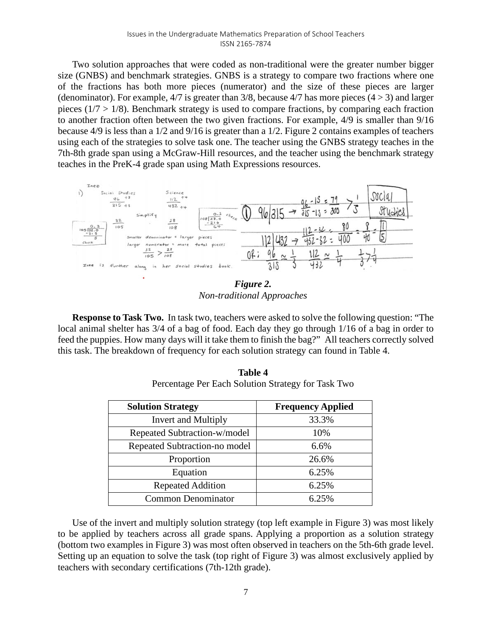Two solution approaches that were coded as non-traditional were the greater number bigger size (GNBS) and benchmark strategies. GNBS is a strategy to compare two fractions where one of the fractions has both more pieces (numerator) and the size of these pieces are larger (denominator). For example,  $4/7$  is greater than 3/8, because  $4/7$  has more pieces ( $4 > 3$ ) and larger pieces ( $1/7 > 1/8$ ). Benchmark strategy is used to compare fractions, by comparing each fraction to another fraction often between the two given fractions. For example, 4/9 is smaller than 9/16 because 4/9 is less than a 1/2 and 9/16 is greater than a 1/2. Figure 2 contains examples of teachers using each of the strategies to solve task one. The teacher using the GNBS strategy teaches in the 7th-8th grade span using a McGraw-Hill resources, and the teacher using the benchmark strategy teaches in the PreK-4 grade span using Math Expressions resources.



*Non-traditional Approaches*

**Response to Task Two.** In task two, teachers were asked to solve the following question: "The local animal shelter has 3/4 of a bag of food. Each day they go through 1/16 of a bag in order to feed the puppies. How many days will it take them to finish the bag?" All teachers correctly solved this task. The breakdown of frequency for each solution strategy can found in Table 4.

| I CICCHIAZE I CI LACII DOIUTION DUAICZY IOI TASK TWO |                          |  |  |  |
|------------------------------------------------------|--------------------------|--|--|--|
| <b>Solution Strategy</b>                             | <b>Frequency Applied</b> |  |  |  |
| Invert and Multiply                                  | 33.3%                    |  |  |  |
| Repeated Subtraction-w/model                         | 10%                      |  |  |  |
| Repeated Subtraction-no model                        | 6.6%                     |  |  |  |

Proportion 26.6% Equation 6.25% Repeated Addition 1 6.25% Common Denominator 6.25%

**Table 4** Percentage Per Each Solution Strategy for Task Two

| Use of the invert and multiply solution strategy (top left example in Figure 3) was most likely    |
|----------------------------------------------------------------------------------------------------|
| to be applied by teachers across all grade spans. Applying a proportion as a solution strategy     |
| (bottom two examples in Figure 3) was most often observed in teachers on the 5th-6th grade level.  |
| Setting up an equation to solve the task (top right of Figure 3) was almost exclusively applied by |
| teachers with secondary certifications (7th-12th grade).                                           |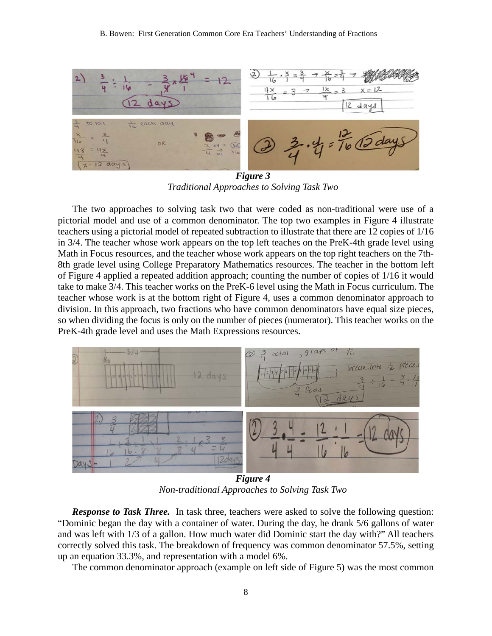#### B. Bowen: First Generation Common Core Era Teachers' Understanding of Fractions



*Figure 3 Traditional Approaches to Solving Task Two*

The two approaches to solving task two that were coded as non-traditional were use of a pictorial model and use of a common denominator. The top two examples in Figure 4 illustrate teachers using a pictorial model of repeated subtraction to illustrate that there are 12 copies of 1/16 in 3/4. The teacher whose work appears on the top left teaches on the PreK-4th grade level using Math in Focus resources, and the teacher whose work appears on the top right teachers on the 7th-8th grade level using College Preparatory Mathematics resources. The teacher in the bottom left of Figure 4 applied a repeated addition approach; counting the number of copies of 1/16 it would take to make 3/4. This teacher works on the PreK-6 level using the Math in Focus curriculum. The teacher whose work is at the bottom right of Figure 4, uses a common denominator approach to division. In this approach, two fractions who have common denominators have equal size pieces, so when dividing the focus is only on the number of pieces (numerator). This teacher works on the PreK-4th grade level and uses the Math Expressions resources.



*Figure 4 Non-traditional Approaches to Solving Task Two*

**Response to Task Three.** In task three, teachers were asked to solve the following question: "Dominic began the day with a container of water. During the day, he drank 5/6 gallons of water and was left with 1/3 of a gallon. How much water did Dominic start the day with?" All teachers correctly solved this task. The breakdown of frequency was common denominator 57.5%, setting up an equation 33.3%, and representation with a model 6%.

The common denominator approach (example on left side of Figure 5) was the most common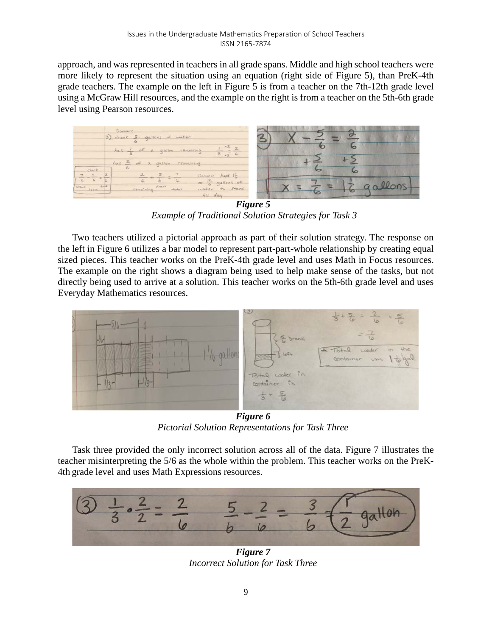approach, and was represented in teachers in all grade spans. Middle and high school teachers were more likely to represent the situation using an equation (right side of Figure 5), than PreK-4th grade teachers. The example on the left in Figure 5 is from a teacher on the 7th-12th grade level using a McGraw Hill resources, and the example on the right is from a teacher on the 5th-6th grade level using Pearson resources.



*Figure 5 Example of Traditional Solution Strategies for Task 3*

Two teachers utilized a pictorial approach as part of their solution strategy. The response on the left in Figure 6 utilizes a bar model to represent part-part-whole relationship by creating equal sized pieces. This teacher works on the PreK-4th grade level and uses Math in Focus resources. The example on the right shows a diagram being used to help make sense of the tasks, but not directly being used to arrive at a solution. This teacher works on the 5th-6th grade level and uses Everyday Mathematics resources.



*Figure 6 Pictorial Solution Representations for Task Three*

Task three provided the only incorrect solution across all of the data. Figure 7 illustrates the teacher misinterpreting the 5/6 as the whole within the problem. This teacher works on the PreK-4th grade level and uses Math Expressions resources.



*Figure 7 Incorrect Solution for Task Three*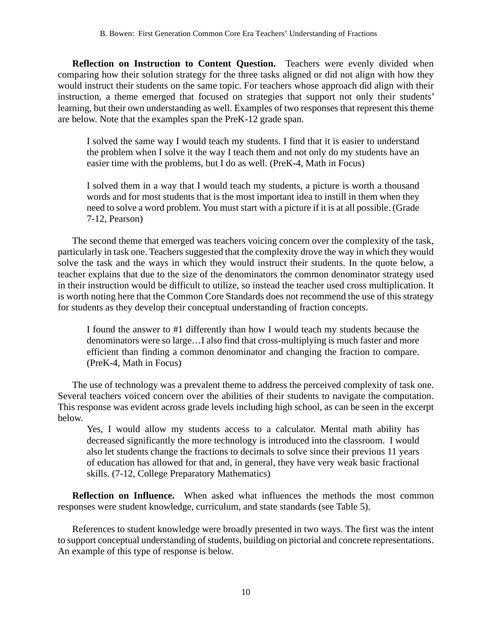**Reflection on Instruction to Content Question.** Teachers were evenly divided when comparing how their solution strategy for the three tasks aligned or did not align with how they would instruct their students on the same topic. For teachers whose approach did align with their instruction, a theme emerged that focused on strategies that support not only their students' learning, but their own understanding as well. Examples of two responses that represent this theme are below. Note that the examples span the PreK-12 grade span.

I solved the same way I would teach my students. I find that it is easier to understand the problem when I solve it the way I teach them and not only do my students have an easier time with the problems, but I do as well. (PreK-4, Math in Focus)

I solved them in a way that I would teach my students, a picture is worth a thousand words and for most students that is the most important idea to instill in them when they need to solve a word problem. You must start with a picture if it is at all possible. (Grade 7-12, Pearson)

The second theme that emerged was teachers voicing concern over the complexity of the task, particularly in task one. Teachers suggested that the complexity drove the way in which they would solve the task and the ways in which they would instruct their students. In the quote below, a teacher explains that due to the size of the denominators the common denominator strategy used in their instruction would be difficult to utilize, so instead the teacher used cross multiplication. It is worth noting here that the Common Core Standards does not recommend the use of this strategy for students as they develop their conceptual understanding of fraction concepts.

I found the answer to #1 differently than how I would teach my students because the denominators were so large…I also find that cross-multiplying is much faster and more efficient than finding a common denominator and changing the fraction to compare. (PreK-4, Math in Focus)

The use of technology was a prevalent theme to address the perceived complexity of task one. Several teachers voiced concern over the abilities of their students to navigate the computation. This response was evident across grade levels including high school, as can be seen in the excerpt below.

Yes, I would allow my students access to a calculator. Mental math ability has decreased significantly the more technology is introduced into the classroom. I would also let students change the fractions to decimals to solve since their previous 11 years of education has allowed for that and, in general, they have very weak basic fractional skills. (7-12, College Preparatory Mathematics)

**Reflection on Influence.** When asked what influences the methods the most common responses were student knowledge, curriculum, and state standards (see Table 5).

References to student knowledge were broadly presented in two ways. The first was the intent to support conceptual understanding of students, building on pictorial and concrete representations. An example of this type of response is below.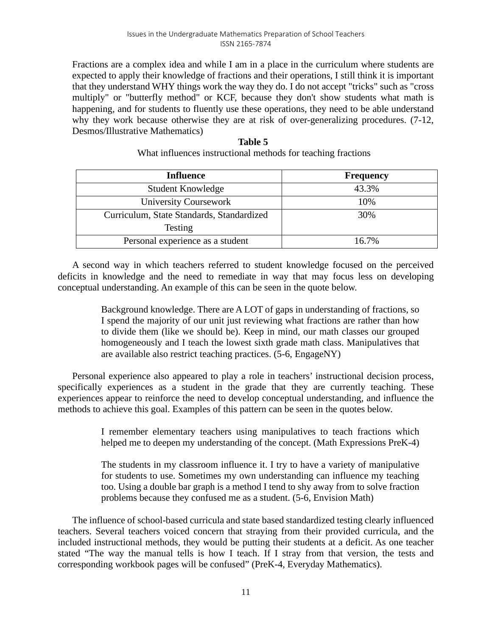Fractions are a complex idea and while I am in a place in the curriculum where students are expected to apply their knowledge of fractions and their operations, I still think it is important that they understand WHY things work the way they do. I do not accept "tricks" such as "cross multiply" or "butterfly method" or KCF, because they don't show students what math is happening, and for students to fluently use these operations, they need to be able understand why they work because otherwise they are at risk of over-generalizing procedures. (7-12, Desmos/Illustrative Mathematics)

| Table 5                                                      |
|--------------------------------------------------------------|
| What influences instructional methods for teaching fractions |

| <b>Influence</b>                          | <b>Frequency</b> |
|-------------------------------------------|------------------|
| Student Knowledge                         | 43.3%            |
| <b>University Coursework</b>              | 10%              |
| Curriculum, State Standards, Standardized | 30%              |
| <b>Testing</b>                            |                  |
| Personal experience as a student          | 16.7%            |

A second way in which teachers referred to student knowledge focused on the perceived deficits in knowledge and the need to remediate in way that may focus less on developing conceptual understanding. An example of this can be seen in the quote below.

> Background knowledge. There are A LOT of gaps in understanding of fractions, so I spend the majority of our unit just reviewing what fractions are rather than how to divide them (like we should be). Keep in mind, our math classes our grouped homogeneously and I teach the lowest sixth grade math class. Manipulatives that are available also restrict teaching practices. (5-6, EngageNY)

Personal experience also appeared to play a role in teachers' instructional decision process, specifically experiences as a student in the grade that they are currently teaching. These experiences appear to reinforce the need to develop conceptual understanding, and influence the methods to achieve this goal. Examples of this pattern can be seen in the quotes below.

> I remember elementary teachers using manipulatives to teach fractions which helped me to deepen my understanding of the concept. (Math Expressions PreK-4)

> The students in my classroom influence it. I try to have a variety of manipulative for students to use. Sometimes my own understanding can influence my teaching too. Using a double bar graph is a method I tend to shy away from to solve fraction problems because they confused me as a student. (5-6, Envision Math)

The influence of school-based curricula and state based standardized testing clearly influenced teachers. Several teachers voiced concern that straying from their provided curricula, and the included instructional methods, they would be putting their students at a deficit. As one teacher stated "The way the manual tells is how I teach. If I stray from that version, the tests and corresponding workbook pages will be confused" (PreK-4, Everyday Mathematics).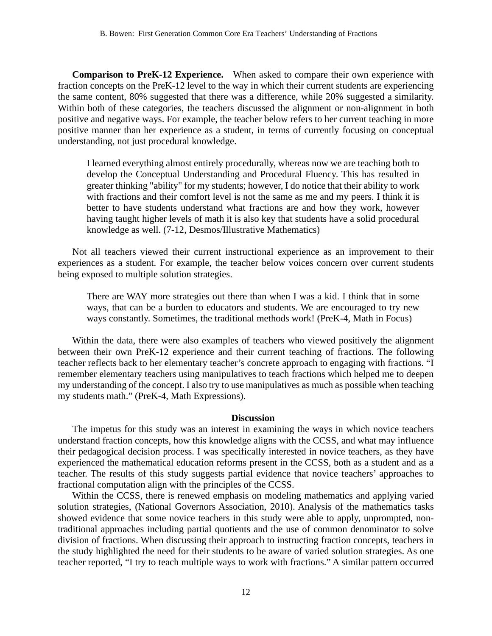**Comparison to PreK-12 Experience.** When asked to compare their own experience with fraction concepts on the PreK-12 level to the way in which their current students are experiencing the same content, 80% suggested that there was a difference, while 20% suggested a similarity. Within both of these categories, the teachers discussed the alignment or non-alignment in both positive and negative ways. For example, the teacher below refers to her current teaching in more positive manner than her experience as a student, in terms of currently focusing on conceptual understanding, not just procedural knowledge.

I learned everything almost entirely procedurally, whereas now we are teaching both to develop the Conceptual Understanding and Procedural Fluency. This has resulted in greater thinking "ability" for my students; however, I do notice that their ability to work with fractions and their comfort level is not the same as me and my peers. I think it is better to have students understand what fractions are and how they work, however having taught higher levels of math it is also key that students have a solid procedural knowledge as well. (7-12, Desmos/Illustrative Mathematics)

Not all teachers viewed their current instructional experience as an improvement to their experiences as a student. For example, the teacher below voices concern over current students being exposed to multiple solution strategies.

There are WAY more strategies out there than when I was a kid. I think that in some ways, that can be a burden to educators and students. We are encouraged to try new ways constantly. Sometimes, the traditional methods work! (PreK-4, Math in Focus)

Within the data, there were also examples of teachers who viewed positively the alignment between their own PreK-12 experience and their current teaching of fractions. The following teacher reflects back to her elementary teacher's concrete approach to engaging with fractions. "I remember elementary teachers using manipulatives to teach fractions which helped me to deepen my understanding of the concept. I also try to use manipulatives as much as possible when teaching my students math." (PreK-4, Math Expressions).

#### **Discussion**

The impetus for this study was an interest in examining the ways in which novice teachers understand fraction concepts, how this knowledge aligns with the CCSS, and what may influence their pedagogical decision process. I was specifically interested in novice teachers, as they have experienced the mathematical education reforms present in the CCSS, both as a student and as a teacher. The results of this study suggests partial evidence that novice teachers' approaches to fractional computation align with the principles of the CCSS.

Within the CCSS, there is renewed emphasis on modeling mathematics and applying varied solution strategies, (National Governors Association, 2010). Analysis of the mathematics tasks showed evidence that some novice teachers in this study were able to apply, unprompted, nontraditional approaches including partial quotients and the use of common denominator to solve division of fractions. When discussing their approach to instructing fraction concepts, teachers in the study highlighted the need for their students to be aware of varied solution strategies. As one teacher reported, "I try to teach multiple ways to work with fractions." A similar pattern occurred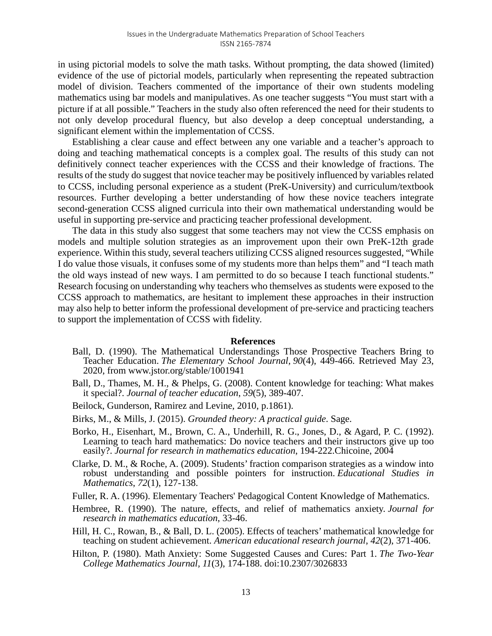in using pictorial models to solve the math tasks. Without prompting, the data showed (limited) evidence of the use of pictorial models, particularly when representing the repeated subtraction model of division. Teachers commented of the importance of their own students modeling mathematics using bar models and manipulatives. As one teacher suggests "You must start with a picture if at all possible." Teachers in the study also often referenced the need for their students to not only develop procedural fluency, but also develop a deep conceptual understanding, a significant element within the implementation of CCSS.

Establishing a clear cause and effect between any one variable and a teacher's approach to doing and teaching mathematical concepts is a complex goal. The results of this study can not definitively connect teacher experiences with the CCSS and their knowledge of fractions. The results of the study do suggest that novice teacher may be positively influenced by variables related to CCSS, including personal experience as a student (PreK-University) and curriculum/textbook resources. Further developing a better understanding of how these novice teachers integrate second-generation CCSS aligned curricula into their own mathematical understanding would be useful in supporting pre-service and practicing teacher professional development.

The data in this study also suggest that some teachers may not view the CCSS emphasis on models and multiple solution strategies as an improvement upon their own PreK-12th grade experience. Within this study, several teachers utilizing CCSS aligned resources suggested, "While I do value those visuals, it confuses some of my students more than helps them" and "I teach math the old ways instead of new ways. I am permitted to do so because I teach functional students." Research focusing on understanding why teachers who themselves as students were exposed to the CCSS approach to mathematics, are hesitant to implement these approaches in their instruction may also help to better inform the professional development of pre-service and practicing teachers to support the implementation of CCSS with fidelity.

#### **References**

- Ball, D. (1990). The Mathematical Understandings Those Prospective Teachers Bring to Teacher Education. *The Elementary School Journal, 90*(4), 449-466. Retrieved May 23, 2020, from www.jstor.org/stable/1001941
- Ball, D., Thames, M. H., & Phelps, G. (2008). Content knowledge for teaching: What makes it special?. *Journal of teacher education*, *59*(5), 389-407.
- Beilock, Gunderson, Ramirez and Levine, 2010, p.1861).
- Birks, M., & Mills, J. (2015). *Grounded theory: A practical guide*. Sage.
- Borko, H., Eisenhart, M., Brown, C. A., Underhill, R. G., Jones, D., & Agard, P. C. (1992). Learning to teach hard mathematics: Do novice teachers and their instructors give up too easily?. *Journal for research in mathematics education*, 194-222.Chicoine, 2004
- Clarke, D. M., & Roche, A. (2009). Students' fraction comparison strategies as a window into robust understanding and possible pointers for instruction. *Educational Studies in Mathematics*, *72*(1), 127-138.
- Fuller, R. A. (1996). Elementary Teachers' Pedagogical Content Knowledge of Mathematics.
- Hembree, R. (1990). The nature, effects, and relief of mathematics anxiety. *Journal for research in mathematics education*, 33-46.
- Hill, H. C., Rowan, B., & Ball, D. L. (2005). Effects of teachers' mathematical knowledge for teaching on student achievement. *American educational research journal*, *42*(2), 371-406.
- Hilton, P. (1980). Math Anxiety: Some Suggested Causes and Cures: Part 1. *The Two-Year College Mathematics Journal, 11*(3), 174-188. doi:10.2307/3026833